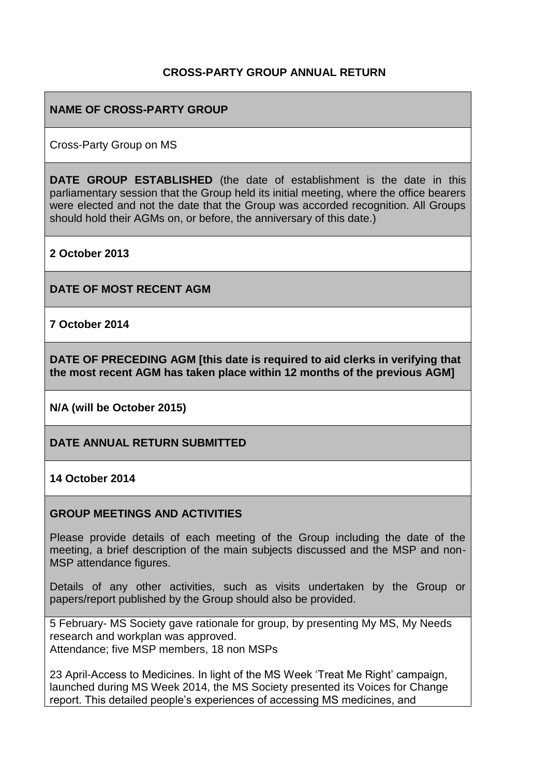#### **CROSS-PARTY GROUP ANNUAL RETURN**

#### **NAME OF CROSS-PARTY GROUP**

Cross-Party Group on MS

**DATE GROUP ESTABLISHED** (the date of establishment is the date in this parliamentary session that the Group held its initial meeting, where the office bearers were elected and not the date that the Group was accorded recognition. All Groups should hold their AGMs on, or before, the anniversary of this date.)

**2 October 2013** 

**DATE OF MOST RECENT AGM**

**7 October 2014**

**DATE OF PRECEDING AGM [this date is required to aid clerks in verifying that the most recent AGM has taken place within 12 months of the previous AGM]**

**N/A (will be October 2015)**

**DATE ANNUAL RETURN SUBMITTED**

**14 October 2014**

#### **GROUP MEETINGS AND ACTIVITIES**

Please provide details of each meeting of the Group including the date of the meeting, a brief description of the main subjects discussed and the MSP and non-MSP attendance figures.

Details of any other activities, such as visits undertaken by the Group or papers/report published by the Group should also be provided.

5 February- MS Society gave rationale for group, by presenting My MS, My Needs research and workplan was approved. Attendance; five MSP members, 18 non MSPs

23 April-Access to Medicines. In light of the MS Week 'Treat Me Right' campaign, launched during MS Week 2014, the MS Society presented its Voices for Change report. This detailed people's experiences of accessing MS medicines, and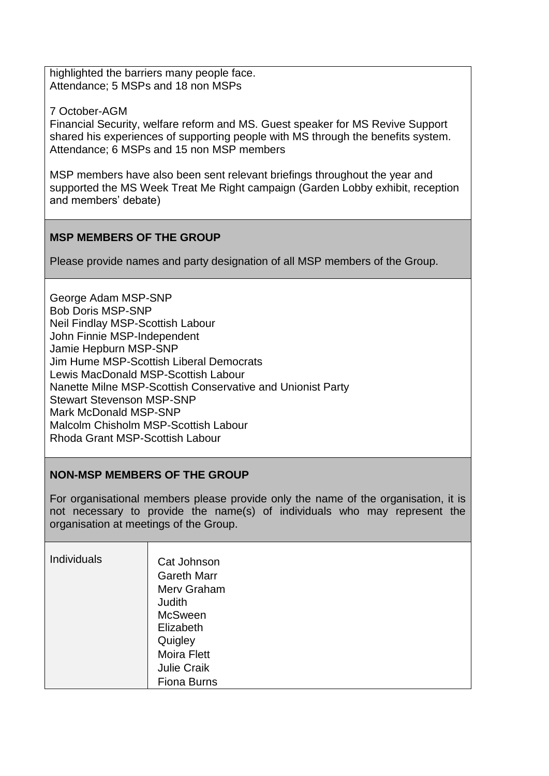highlighted the barriers many people face. Attendance; 5 MSPs and 18 non MSPs

7 October-AGM

Financial Security, welfare reform and MS. Guest speaker for MS Revive Support shared his experiences of supporting people with MS through the benefits system. Attendance; 6 MSPs and 15 non MSP members

MSP members have also been sent relevant briefings throughout the year and supported the MS Week Treat Me Right campaign (Garden Lobby exhibit, reception and members' debate)

### **MSP MEMBERS OF THE GROUP**

Please provide names and party designation of all MSP members of the Group.

George Adam MSP-SNP Bob Doris MSP-SNP Neil Findlay MSP-Scottish Labour John Finnie MSP-Independent Jamie Hepburn MSP-SNP Jim Hume MSP-Scottish Liberal Democrats Lewis MacDonald MSP-Scottish Labour Nanette Milne MSP-Scottish Conservative and Unionist Party Stewart Stevenson MSP-SNP Mark McDonald MSP-SNP Malcolm Chisholm MSP-Scottish Labour Rhoda Grant MSP-Scottish Labour

#### **NON-MSP MEMBERS OF THE GROUP**

For organisational members please provide only the name of the organisation, it is not necessary to provide the name(s) of individuals who may represent the organisation at meetings of the Group.

| <b>Individuals</b> | Cat Johnson<br><b>Gareth Marr</b><br>Merv Graham<br>Judith<br><b>McSween</b><br>Elizabeth<br>Quigley<br><b>Moira Flett</b><br><b>Julie Craik</b> |
|--------------------|--------------------------------------------------------------------------------------------------------------------------------------------------|
|                    | <b>Fiona Burns</b>                                                                                                                               |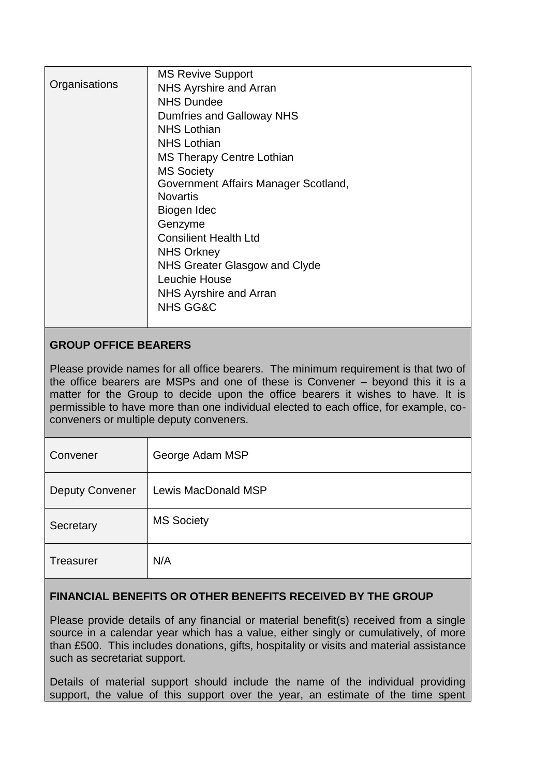| Organisations               | <b>MS Revive Support</b><br>NHS Ayrshire and Arran<br><b>NHS Dundee</b><br>Dumfries and Galloway NHS<br><b>NHS Lothian</b><br><b>NHS Lothian</b><br><b>MS Therapy Centre Lothian</b><br><b>MS Society</b><br>Government Affairs Manager Scotland,<br><b>Novartis</b><br>Biogen Idec<br>Genzyme<br><b>Consilient Health Ltd</b><br><b>NHS Orkney</b><br>NHS Greater Glasgow and Clyde<br>Leuchie House |
|-----------------------------|-------------------------------------------------------------------------------------------------------------------------------------------------------------------------------------------------------------------------------------------------------------------------------------------------------------------------------------------------------------------------------------------------------|
|                             | NHS Ayrshire and Arran<br><b>NHS GG&amp;C</b>                                                                                                                                                                                                                                                                                                                                                         |
| <b>GROUP OFFICE BEARERS</b> |                                                                                                                                                                                                                                                                                                                                                                                                       |

# Please provide names for all office bearers. The minimum requirement is that two of

the office bearers are MSPs and one of these is Convener – beyond this it is a matter for the Group to decide upon the office bearers it wishes to have. It is permissible to have more than one individual elected to each office, for example, coconveners or multiple deputy conveners.

| Convener               | George Adam MSP     |
|------------------------|---------------------|
| <b>Deputy Convener</b> | Lewis MacDonald MSP |
| Secretary              | <b>MS Society</b>   |
| <b>Treasurer</b>       | N/A                 |

## **FINANCIAL BENEFITS OR OTHER BENEFITS RECEIVED BY THE GROUP**

Please provide details of any financial or material benefit(s) received from a single source in a calendar year which has a value, either singly or cumulatively, of more than £500. This includes donations, gifts, hospitality or visits and material assistance such as secretariat support.

Details of material support should include the name of the individual providing support, the value of this support over the year, an estimate of the time spent